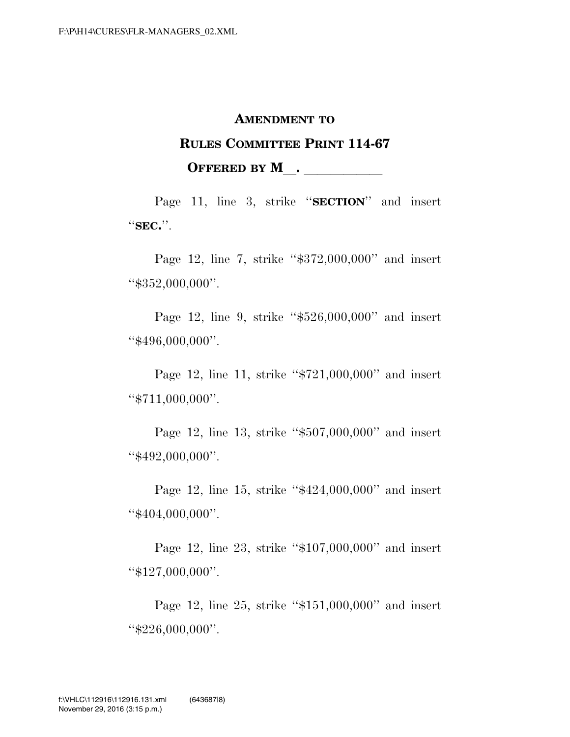## **AMENDMENT TO**

## **RULES COMMITTEE PRINT 114-67 OFFERED BY M**.

Page 11, line 3, strike ''**SECTION**'' and insert ''**SEC.**''.

Page 12, line 7, strike "\$372,000,000" and insert ''\$352,000,000''.

Page 12, line 9, strike ''\$526,000,000'' and insert ''\$496,000,000''.

Page 12, line 11, strike ''\$721,000,000'' and insert ''\$711,000,000''.

Page 12, line 13, strike ''\$507,000,000'' and insert ''\$492,000,000''.

Page 12, line 15, strike ''\$424,000,000'' and insert ''\$404,000,000''.

Page 12, line 23, strike ''\$107,000,000'' and insert ''\$127,000,000''.

Page 12, line 25, strike ''\$151,000,000'' and insert ''\$226,000,000''.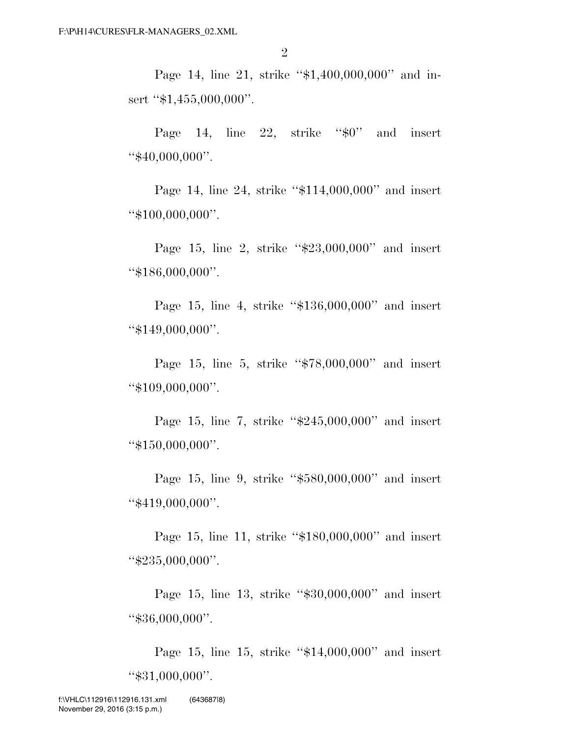Page 14, line 21, strike "\$1,400,000,000" and insert "\$1,455,000,000".

Page 14, line 22, strike " $\frac{60}{7}$ " and insert "\$40,000,000".

Page 14, line 24, strike "\$114,000,000" and insert ''\$100,000,000''.

Page 15, line 2, strike "\$23,000,000" and insert ''\$186,000,000''.

Page 15, line 4, strike ''\$136,000,000'' and insert ''\$149,000,000''.

Page 15, line 5, strike ''\$78,000,000'' and insert ''\$109,000,000''.

Page 15, line 7, strike "\$245,000,000" and insert ''\$150,000,000''.

Page 15, line 9, strike ''\$580,000,000'' and insert ''\$419,000,000''.

Page 15, line 11, strike ''\$180,000,000'' and insert ''\$235,000,000''.

Page 15, line 13, strike "\$30,000,000" and insert ''\$36,000,000''.

Page 15, line 15, strike "\$14,000,000" and insert ''\$31,000,000''.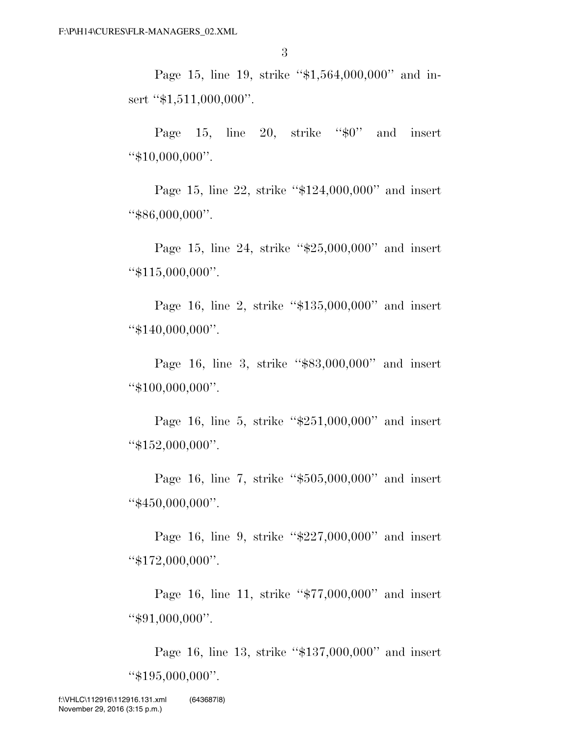Page 15, line 19, strike "\$1,564,000,000" and insert "\$1,511,000,000".

Page 15, line 20, strike " $$0"$  and insert ''\$10,000,000''.

Page 15, line 22, strike ''\$124,000,000'' and insert ''\$86,000,000''.

Page 15, line 24, strike "\$25,000,000" and insert ''\$115,000,000''.

Page 16, line 2, strike ''\$135,000,000'' and insert ''\$140,000,000''.

Page 16, line 3, strike "\$83,000,000" and insert ''\$100,000,000''.

Page 16, line 5, strike "\$251,000,000" and insert ''\$152,000,000''.

Page 16, line 7, strike ''\$505,000,000'' and insert ''\$450,000,000''.

Page 16, line 9, strike ''\$227,000,000'' and insert ''\$172,000,000''.

Page 16, line 11, strike ''\$77,000,000'' and insert ''\$91,000,000''.

Page 16, line 13, strike "\$137,000,000" and insert ''\$195,000,000''.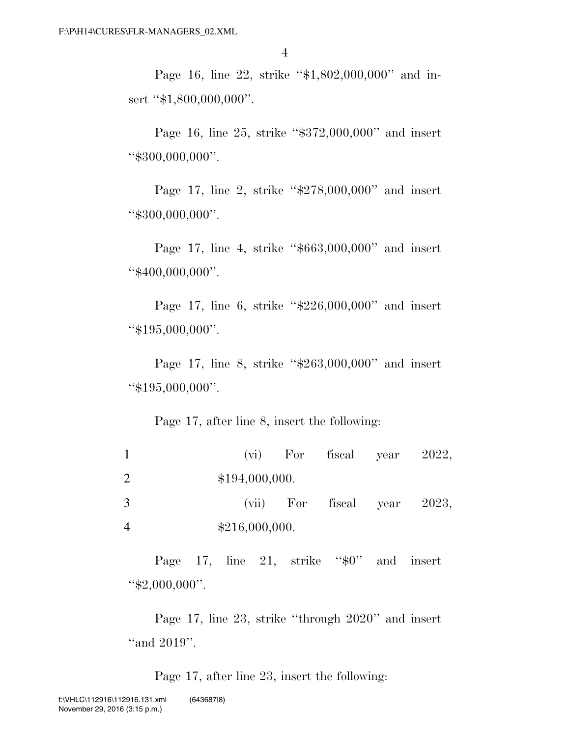Page 16, line 22, strike "\$1,802,000,000" and insert "\$1,800,000,000".

Page 16, line 25, strike ''\$372,000,000'' and insert ''\$300,000,000''.

Page 17, line 2, strike ''\$278,000,000'' and insert ''\$300,000,000''.

Page 17, line 4, strike "\$663,000,000" and insert ''\$400,000,000''.

Page 17, line 6, strike "\$226,000,000" and insert ''\$195,000,000''.

Page 17, line 8, strike "\$263,000,000" and insert ''\$195,000,000''.

## Page 17, after line 8, insert the following:

|   |                | $(vi)$ For fiscal year 2022,  |  |
|---|----------------|-------------------------------|--|
| 2 | \$194,000,000. |                               |  |
| 3 |                | $(vii)$ For fiscal year 2023, |  |
| 4 | \$216,000,000. |                               |  |

Page 17, line 21, strike " $\frac{6}{5}0$ " and insert ''\$2,000,000''.

Page 17, line 23, strike ''through 2020'' and insert "and 2019".

Page 17, after line 23, insert the following: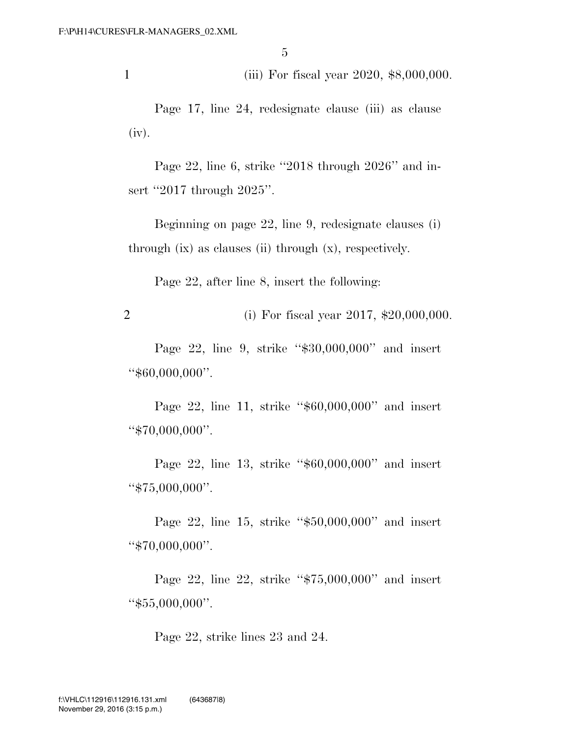1 (iii) For fiscal year 2020, \$8,000,000.

Page 17, line 24, redesignate clause (iii) as clause (iv).

Page 22, line 6, strike ''2018 through 2026'' and insert "2017 through 2025".

Beginning on page 22, line 9, redesignate clauses (i) through (ix) as clauses (ii) through (x), respectively.

Page 22, after line 8, insert the following:

2 (i) For fiscal year 2017, \$20,000,000.

Page 22, line 9, strike "\$30,000,000" and insert ''\$60,000,000''.

Page 22, line 11, strike "\$60,000,000" and insert ''\$70,000,000''.

Page 22, line 13, strike "\$60,000,000" and insert ''\$75,000,000''.

Page 22, line 15, strike ''\$50,000,000'' and insert ''\$70,000,000''.

Page 22, line 22, strike "\$75,000,000" and insert ''\$55,000,000''.

Page 22, strike lines 23 and 24.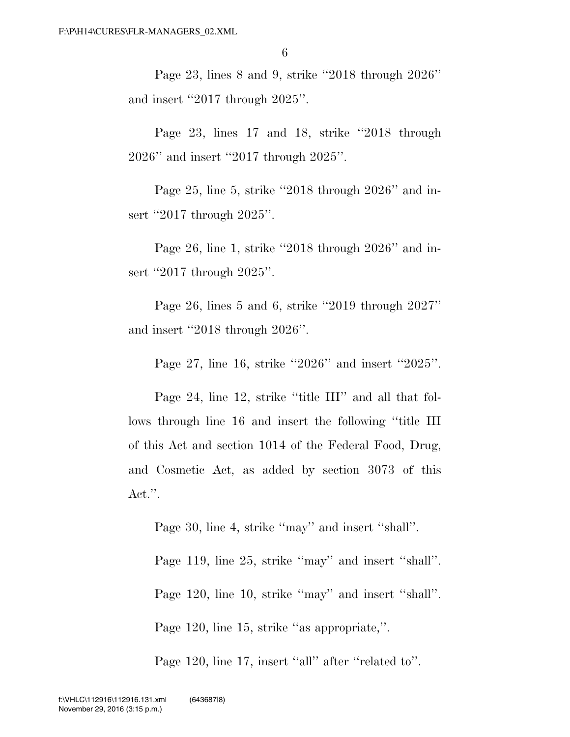Page 23, lines 8 and 9, strike ''2018 through 2026'' and insert ''2017 through 2025''.

Page 23, lines 17 and 18, strike "2018 through 2026'' and insert ''2017 through 2025''.

Page 25, line 5, strike ''2018 through 2026'' and insert "2017 through 2025".

Page 26, line 1, strike ''2018 through 2026'' and insert "2017 through 2025".

Page 26, lines 5 and 6, strike ''2019 through 2027'' and insert ''2018 through 2026''.

Page 27, line 16, strike ''2026'' and insert ''2025''.

Page 24, line 12, strike "title III" and all that follows through line 16 and insert the following ''title III of this Act and section 1014 of the Federal Food, Drug, and Cosmetic Act, as added by section 3073 of this Act.''.

Page 30, line 4, strike "may" and insert "shall".

Page 119, line 25, strike "may" and insert "shall". Page 120, line 10, strike "may" and insert "shall". Page 120, line 15, strike ''as appropriate,''.

Page 120, line 17, insert "all" after "related to".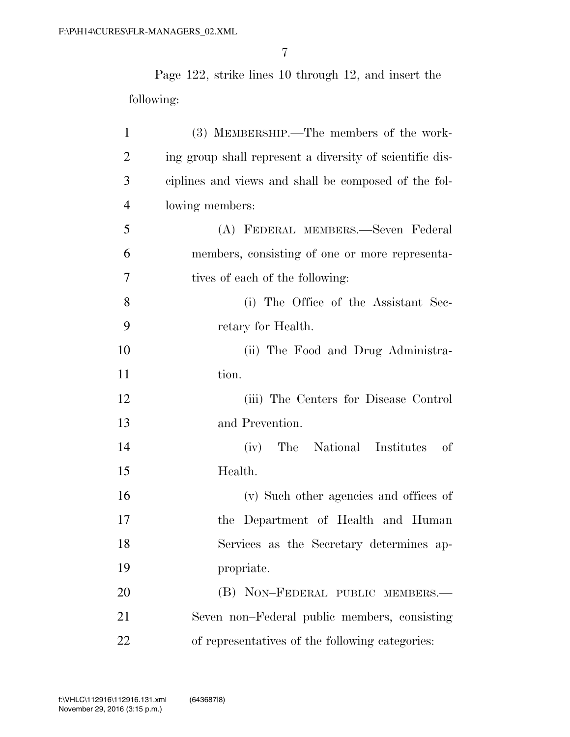Page 122, strike lines 10 through 12, and insert the following:

| $\mathbf{1}$   | (3) MEMBERSHIP.—The members of the work-                 |
|----------------|----------------------------------------------------------|
| $\overline{2}$ | ing group shall represent a diversity of scientific dis- |
| 3              | ciplines and views and shall be composed of the fol-     |
| $\overline{4}$ | lowing members:                                          |
| 5              | (A) FEDERAL MEMBERS.—Seven Federal                       |
| 6              | members, consisting of one or more representa-           |
| 7              | tives of each of the following:                          |
| 8              | (i) The Office of the Assistant Sec-                     |
| 9              | retary for Health.                                       |
| 10             | (ii) The Food and Drug Administra-                       |
| 11             | tion.                                                    |
| 12             | (iii) The Centers for Disease Control                    |
| 13             | and Prevention.                                          |
| 14             | The National Institutes<br>of<br>(iv)                    |
| 15             | Health.                                                  |
| 16             | (v) Such other agencies and offices of                   |
| 17             | the Department of Health and Human                       |
| 18             | Services as the Secretary determines ap-                 |
| 19             | propriate.                                               |
| 20             | (B) NON-FEDERAL PUBLIC MEMBERS.-                         |
| 21             | Seven non-Federal public members, consisting             |
| 22             | of representatives of the following categories:          |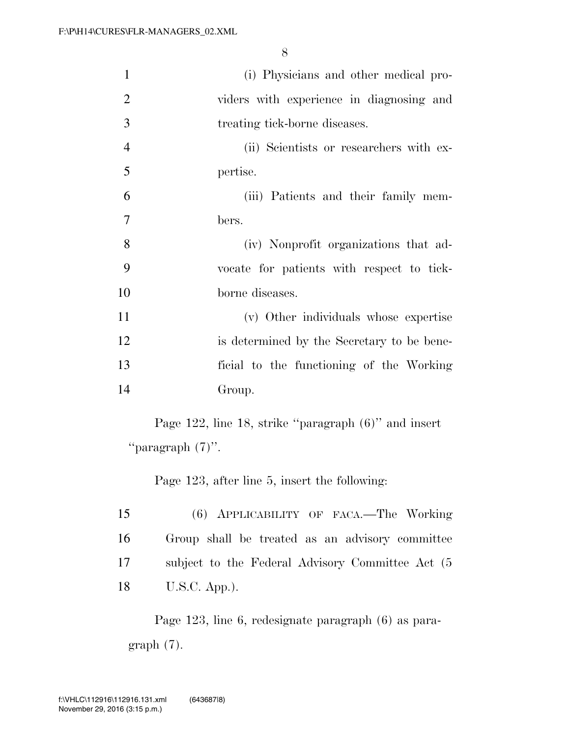| $\mathbf{1}$   | (i) Physicians and other medical pro-      |
|----------------|--------------------------------------------|
| $\overline{2}$ | viders with experience in diagnosing and   |
| 3              | treating tick-borne diseases.              |
| $\overline{4}$ | (ii) Scientists or researchers with ex-    |
| 5              | pertise.                                   |
| 6              | (iii) Patients and their family mem-       |
| 7              | bers.                                      |
| 8              | (iv) Nonprofit organizations that ad-      |
| 9              | vocate for patients with respect to tick-  |
| 10             | borne diseases.                            |
| 11             | (v) Other individuals whose expertise      |
| 12             | is determined by the Secretary to be bene- |
| 13             | ficial to the functioning of the Working   |
| 14             | Group.                                     |

Page 122, line 18, strike ''paragraph (6)'' and insert ''paragraph (7)''.

Page 123, after line 5, insert the following:

| 15 | (6) APPLICABILITY OF FACA.—The Working            |
|----|---------------------------------------------------|
| 16 | Group shall be treated as an advisory committee   |
| 17 | subject to the Federal Advisory Committee Act (5) |
| 18 | $U.S.C.$ App.).                                   |

Page 123, line 6, redesignate paragraph (6) as paragraph (7).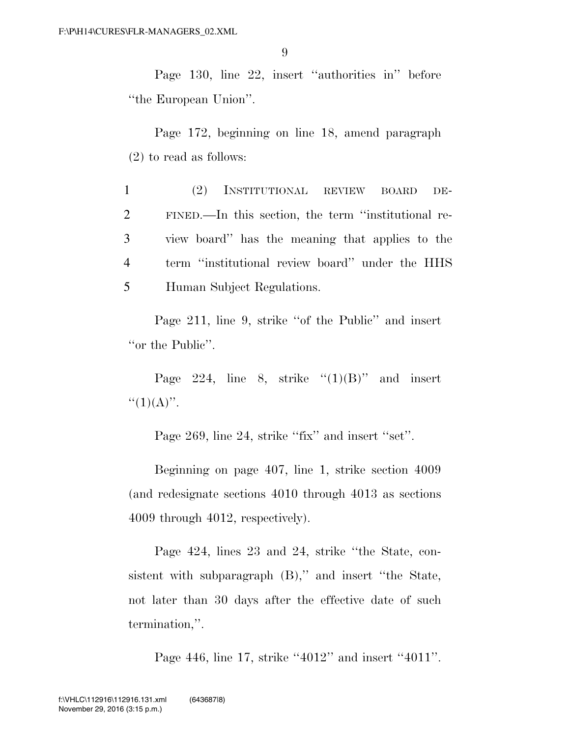Page 130, line 22, insert ''authorities in'' before ''the European Union''.

Page 172, beginning on line 18, amend paragraph (2) to read as follows:

 (2) INSTITUTIONAL REVIEW BOARD DE- FINED.—In this section, the term ''institutional re- view board'' has the meaning that applies to the term ''institutional review board'' under the HHS Human Subject Regulations.

Page 211, line 9, strike "of the Public" and insert "or the Public".

Page 224, line 8, strike  $(1)(B)$ " and insert  $``(1)(A)''$ .

Page 269, line 24, strike "fix" and insert "set".

Beginning on page 407, line 1, strike section 4009 (and redesignate sections 4010 through 4013 as sections 4009 through 4012, respectively).

Page 424, lines 23 and 24, strike ''the State, consistent with subparagraph  $(B)$ ," and insert "the State, not later than 30 days after the effective date of such termination,''.

Page 446, line 17, strike "4012" and insert "4011".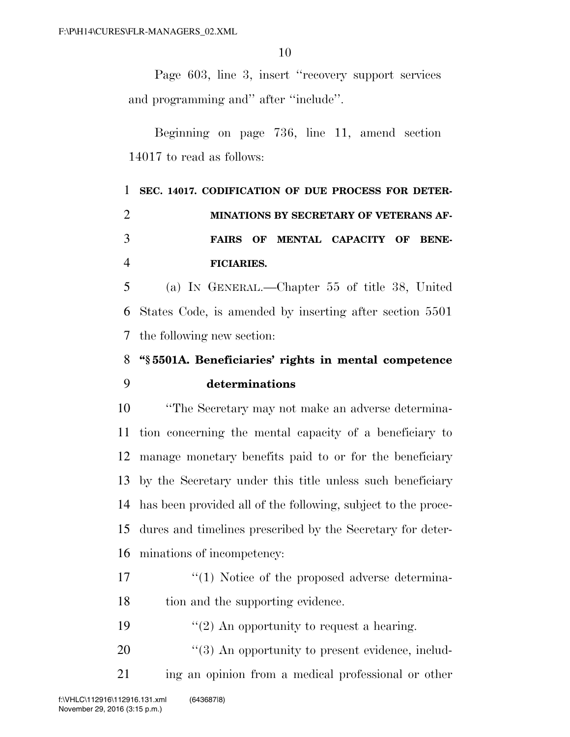Page 603, line 3, insert ''recovery support services and programming and'' after ''include''.

Beginning on page 736, line 11, amend section 14017 to read as follows:

|                | 1 SEC. 14017. CODIFICATION OF DUE PROCESS FOR DETER- |
|----------------|------------------------------------------------------|
| 2              | MINATIONS BY SECRETARY OF VETERANS AF-               |
| 3              | FAIRS OF MENTAL CAPACITY OF BENE-                    |
| $\overline{4}$ | FICIARIES.                                           |

 (a) IN GENERAL.—Chapter 55 of title 38, United States Code, is amended by inserting after section 5501 the following new section:

## **''§ 5501A. Beneficiaries' rights in mental competence determinations**

 ''The Secretary may not make an adverse determina- tion concerning the mental capacity of a beneficiary to manage monetary benefits paid to or for the beneficiary by the Secretary under this title unless such beneficiary has been provided all of the following, subject to the proce- dures and timelines prescribed by the Secretary for deter-minations of incompetency:

- 17  $\frac{17}{2}$  ''(1) Notice of the proposed adverse determina-18 tion and the supporting evidence.
- 19  $"(2)$  An opportunity to request a hearing.
- 20  $\frac{4}{3}$  An opportunity to present evidence, includ-ing an opinion from a medical professional or other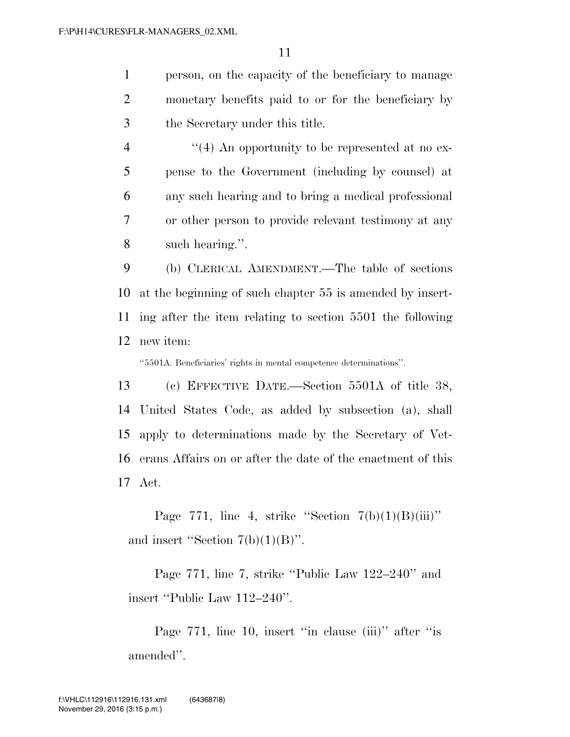person, on the capacity of the beneficiary to manage monetary benefits paid to or for the beneficiary by the Secretary under this title.

4 "(4) An opportunity to be represented at no ex- pense to the Government (including by counsel) at any such hearing and to bring a medical professional or other person to provide relevant testimony at any such hearing.''.

 (b) CLERICAL AMENDMENT.—The table of sections at the beginning of such chapter 55 is amended by insert- ing after the item relating to section 5501 the following new item:

''5501A. Beneficiaries' rights in mental competence determinations''.

 (c) EFFECTIVE DATE.—Section 5501A of title 38, United States Code, as added by subsection (a), shall apply to determinations made by the Secretary of Vet- erans Affairs on or after the date of the enactment of this Act.

Page 771, line 4, strike "Section  $7(b)(1)(B)(iii)$ " and insert "Section  $7(b)(1)(B)$ ".

Page 771, line 7, strike ''Public Law 122–240'' and insert ''Public Law 112–240''.

Page 771, line 10, insert "in clause (iii)" after "is amended''.